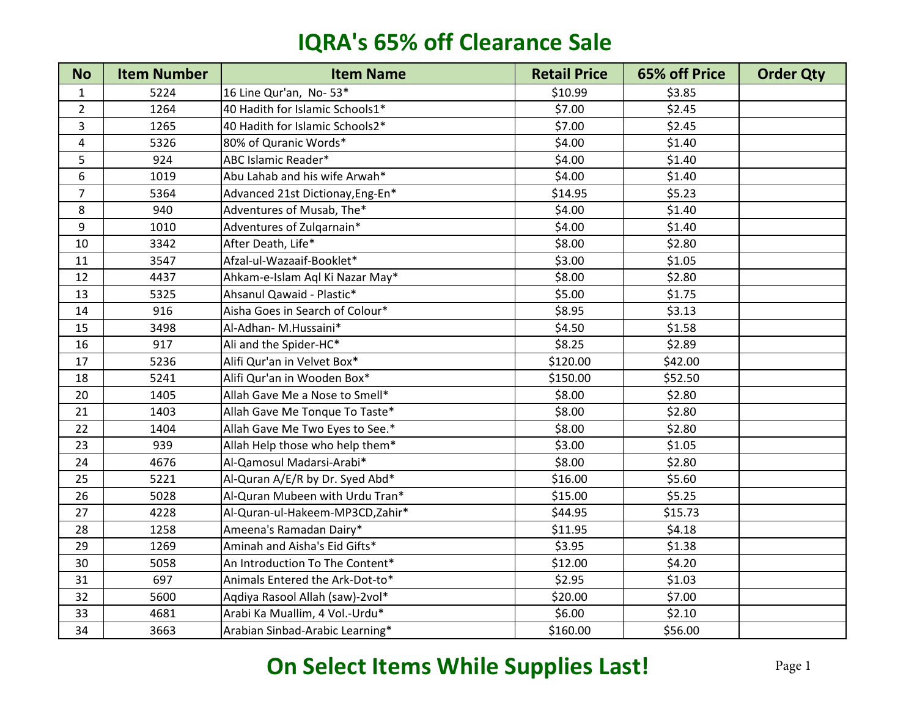| <b>No</b>               | <b>Item Number</b> | <b>Item Name</b>                 | <b>Retail Price</b> | 65% off Price | <b>Order Qty</b> |
|-------------------------|--------------------|----------------------------------|---------------------|---------------|------------------|
| $\mathbf{1}$            | 5224               | 16 Line Qur'an, No-53*           | \$10.99             | \$3.85        |                  |
| $\overline{2}$          | 1264               | 40 Hadith for Islamic Schools1*  | \$7.00              | \$2.45        |                  |
| 3                       | 1265               | 40 Hadith for Islamic Schools2*  | \$7.00              | \$2.45        |                  |
| $\overline{\mathbf{4}}$ | 5326               | 80% of Quranic Words*            | \$4.00              | \$1.40        |                  |
| 5                       | 924                | ABC Islamic Reader*              | \$4.00              | \$1.40        |                  |
| 6                       | 1019               | Abu Lahab and his wife Arwah*    | \$4.00              | \$1.40        |                  |
| $\overline{7}$          | 5364               | Advanced 21st Dictionay, Eng-En* | \$14.95             | \$5.23        |                  |
| 8                       | 940                | Adventures of Musab, The*        | \$4.00              | \$1.40        |                  |
| 9                       | 1010               | Adventures of Zulgarnain*        | \$4.00              | \$1.40        |                  |
| 10                      | 3342               | After Death, Life*               | \$8.00              | \$2.80        |                  |
| 11                      | 3547               | Afzal-ul-Wazaaif-Booklet*        | \$3.00              | \$1.05        |                  |
| 12                      | 4437               | Ahkam-e-Islam Aql Ki Nazar May*  | \$8.00              | \$2.80        |                  |
| 13                      | 5325               | Ahsanul Qawaid - Plastic*        | \$5.00              | \$1.75        |                  |
| 14                      | 916                | Aisha Goes in Search of Colour*  | \$8.95              | \$3.13        |                  |
| 15                      | 3498               | Al-Adhan- M.Hussaini*            | \$4.50              | \$1.58        |                  |
| 16                      | 917                | Ali and the Spider-HC*           | \$8.25              | \$2.89        |                  |
| 17                      | 5236               | Alifi Qur'an in Velvet Box*      | \$120.00            | \$42.00       |                  |
| 18                      | 5241               | Alifi Qur'an in Wooden Box*      | \$150.00            | \$52.50       |                  |
| 20                      | 1405               | Allah Gave Me a Nose to Smell*   | \$8.00              | \$2.80        |                  |
| 21                      | 1403               | Allah Gave Me Tonque To Taste*   | \$8.00              | \$2.80        |                  |
| 22                      | 1404               | Allah Gave Me Two Eyes to See.*  | \$8.00              | \$2.80        |                  |
| 23                      | 939                | Allah Help those who help them*  | \$3.00              | \$1.05        |                  |
| 24                      | 4676               | Al-Qamosul Madarsi-Arabi*        | \$8.00              | \$2.80        |                  |
| 25                      | 5221               | Al-Quran A/E/R by Dr. Syed Abd*  | \$16.00             | \$5.60        |                  |
| 26                      | 5028               | Al-Quran Mubeen with Urdu Tran*  | \$15.00             | \$5.25        |                  |
| 27                      | 4228               | Al-Quran-ul-Hakeem-MP3CD,Zahir*  | \$44.95             | \$15.73       |                  |
| 28                      | 1258               | Ameena's Ramadan Dairy*          | \$11.95             | \$4.18        |                  |
| 29                      | 1269               | Aminah and Aisha's Eid Gifts*    | \$3.95              | \$1.38        |                  |
| 30                      | 5058               | An Introduction To The Content*  | \$12.00             | \$4.20        |                  |
| 31                      | 697                | Animals Entered the Ark-Dot-to*  | \$2.95              | \$1.03        |                  |
| 32                      | 5600               | Aqdiya Rasool Allah (saw)-2vol*  | \$20.00             | \$7.00        |                  |
| 33                      | 4681               | Arabi Ka Muallim, 4 Vol.-Urdu*   | \$6.00              | \$2.10        |                  |
| 34                      | 3663               | Arabian Sinbad-Arabic Learning*  | \$160.00            | \$56.00       |                  |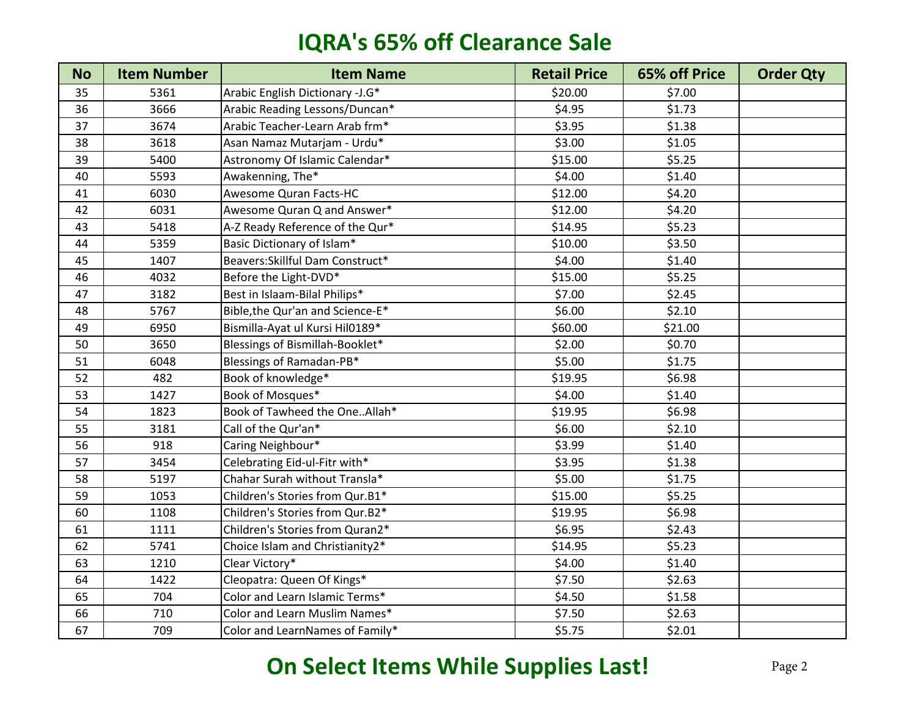| <b>No</b> | <b>Item Number</b> | <b>Item Name</b>                 | <b>Retail Price</b> | <b>65% off Price</b> | <b>Order Qty</b> |
|-----------|--------------------|----------------------------------|---------------------|----------------------|------------------|
| 35        | 5361               | Arabic English Dictionary -J.G*  | \$20.00             | \$7.00               |                  |
| 36        | 3666               | Arabic Reading Lessons/Duncan*   | \$4.95              | \$1.73               |                  |
| 37        | 3674               | Arabic Teacher-Learn Arab frm*   | \$3.95              | \$1.38               |                  |
| 38        | 3618               | Asan Namaz Mutarjam - Urdu*      | \$3.00              | \$1.05               |                  |
| 39        | 5400               | Astronomy Of Islamic Calendar*   | \$15.00             | \$5.25               |                  |
| 40        | 5593               | Awakenning, The*                 | \$4.00              | \$1.40               |                  |
| 41        | 6030               | Awesome Quran Facts-HC           | \$12.00             | \$4.20               |                  |
| 42        | 6031               | Awesome Quran Q and Answer*      | \$12.00             | \$4.20               |                  |
| 43        | 5418               | A-Z Ready Reference of the Qur*  | \$14.95             | \$5.23               |                  |
| 44        | 5359               | Basic Dictionary of Islam*       | \$10.00             | \$3.50               |                  |
| 45        | 1407               | Beavers: Skillful Dam Construct* | \$4.00              | \$1.40               |                  |
| 46        | 4032               | Before the Light-DVD*            | \$15.00             | \$5.25               |                  |
| 47        | 3182               | Best in Islaam-Bilal Philips*    | \$7.00              | \$2.45               |                  |
| 48        | 5767               | Bible, the Qur'an and Science-E* | \$6.00              | \$2.10               |                  |
| 49        | 6950               | Bismilla-Ayat ul Kursi Hil0189*  | \$60.00             | \$21.00              |                  |
| 50        | 3650               | Blessings of Bismillah-Booklet*  | \$2.00              | \$0.70               |                  |
| 51        | 6048               | Blessings of Ramadan-PB*         | \$5.00              | \$1.75               |                  |
| 52        | 482                | Book of knowledge*               | \$19.95             | \$6.98               |                  |
| 53        | 1427               | Book of Mosques*                 | \$4.00              | \$1.40               |                  |
| 54        | 1823               | Book of Tawheed the OneAllah*    | \$19.95             | \$6.98               |                  |
| 55        | 3181               | Call of the Qur'an*              | \$6.00              | \$2.10               |                  |
| 56        | 918                | Caring Neighbour*                | \$3.99              | \$1.40               |                  |
| 57        | 3454               | Celebrating Eid-ul-Fitr with*    | \$3.95              | \$1.38               |                  |
| 58        | 5197               | Chahar Surah without Transla*    | \$5.00              | \$1.75               |                  |
| 59        | 1053               | Children's Stories from Qur.B1*  | \$15.00             | \$5.25               |                  |
| 60        | 1108               | Children's Stories from Qur.B2*  | \$19.95             | \$6.98               |                  |
| 61        | 1111               | Children's Stories from Quran2*  | \$6.95              | \$2.43               |                  |
| 62        | 5741               | Choice Islam and Christianity2*  | \$14.95             | \$5.23               |                  |
| 63        | 1210               | Clear Victory*                   | \$4.00              | \$1.40               |                  |
| 64        | 1422               | Cleopatra: Queen Of Kings*       | \$7.50              | \$2.63               |                  |
| 65        | 704                | Color and Learn Islamic Terms*   | \$4.50              | \$1.58               |                  |
| 66        | 710                | Color and Learn Muslim Names*    | \$7.50              | \$2.63               |                  |
| 67        | 709                | Color and LearnNames of Family*  | \$5.75              | \$2.01               |                  |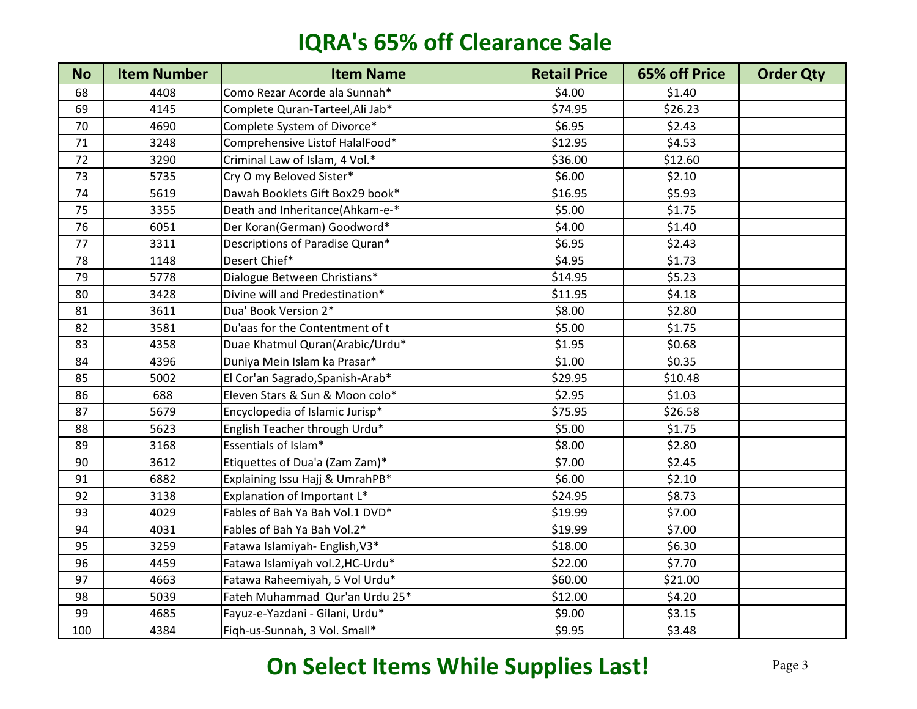| <b>No</b> | <b>Item Number</b> | <b>Item Name</b>                 | <b>Retail Price</b> | 65% off Price | <b>Order Qty</b> |
|-----------|--------------------|----------------------------------|---------------------|---------------|------------------|
| 68        | 4408               | Como Rezar Acorde ala Sunnah*    | \$4.00              | \$1.40        |                  |
| 69        | 4145               | Complete Quran-Tarteel, Ali Jab* | \$74.95             | \$26.23       |                  |
| 70        | 4690               | Complete System of Divorce*      | \$6.95              | \$2.43        |                  |
| 71        | 3248               | Comprehensive Listof HalalFood*  | \$12.95             | \$4.53        |                  |
| 72        | 3290               | Criminal Law of Islam, 4 Vol.*   | \$36.00             | \$12.60       |                  |
| 73        | 5735               | Cry O my Beloved Sister*         | \$6.00              | \$2.10        |                  |
| 74        | 5619               | Dawah Booklets Gift Box29 book*  | \$16.95             | \$5.93        |                  |
| 75        | 3355               | Death and Inheritance(Ahkam-e-*  | \$5.00              | \$1.75        |                  |
| 76        | 6051               | Der Koran(German) Goodword*      | \$4.00              | \$1.40        |                  |
| 77        | 3311               | Descriptions of Paradise Quran*  | \$6.95              | \$2.43        |                  |
| 78        | 1148               | Desert Chief*                    | \$4.95              | \$1.73        |                  |
| 79        | 5778               | Dialogue Between Christians*     | \$14.95             | \$5.23        |                  |
| 80        | 3428               | Divine will and Predestination*  | \$11.95             | \$4.18        |                  |
| 81        | 3611               | Dua' Book Version 2*             | \$8.00              | \$2.80        |                  |
| 82        | 3581               | Du'aas for the Contentment of t  | \$5.00              | \$1.75        |                  |
| 83        | 4358               | Duae Khatmul Quran(Arabic/Urdu*  | \$1.95              | \$0.68        |                  |
| 84        | 4396               | Duniya Mein Islam ka Prasar*     | \$1.00              | \$0.35        |                  |
| 85        | 5002               | El Cor'an Sagrado, Spanish-Arab* | \$29.95             | \$10.48       |                  |
| 86        | 688                | Eleven Stars & Sun & Moon colo*  | \$2.95              | \$1.03        |                  |
| 87        | 5679               | Encyclopedia of Islamic Jurisp*  | \$75.95             | \$26.58       |                  |
| 88        | 5623               | English Teacher through Urdu*    | \$5.00              | \$1.75        |                  |
| 89        | 3168               | Essentials of Islam*             | \$8.00              | \$2.80        |                  |
| 90        | 3612               | Etiquettes of Dua'a (Zam Zam)*   | \$7.00              | \$2.45        |                  |
| 91        | 6882               | Explaining Issu Hajj & UmrahPB*  | \$6.00              | \$2.10        |                  |
| 92        | 3138               | Explanation of Important L*      | \$24.95             | \$8.73        |                  |
| 93        | 4029               | Fables of Bah Ya Bah Vol.1 DVD*  | \$19.99             | \$7.00        |                  |
| 94        | 4031               | Fables of Bah Ya Bah Vol.2*      | \$19.99             | \$7.00        |                  |
| 95        | 3259               | Fatawa Islamiyah- English, V3*   | \$18.00             | \$6.30        |                  |
| 96        | 4459               | Fatawa Islamiyah vol.2, HC-Urdu* | \$22.00             | \$7.70        |                  |
| 97        | 4663               | Fatawa Raheemiyah, 5 Vol Urdu*   | \$60.00             | \$21.00       |                  |
| 98        | 5039               | Fateh Muhammad Qur'an Urdu 25*   | \$12.00             | \$4.20        |                  |
| 99        | 4685               | Fayuz-e-Yazdani - Gilani, Urdu*  | \$9.00              | \$3.15        |                  |
| 100       | 4384               | Figh-us-Sunnah, 3 Vol. Small*    | \$9.95              | \$3.48        |                  |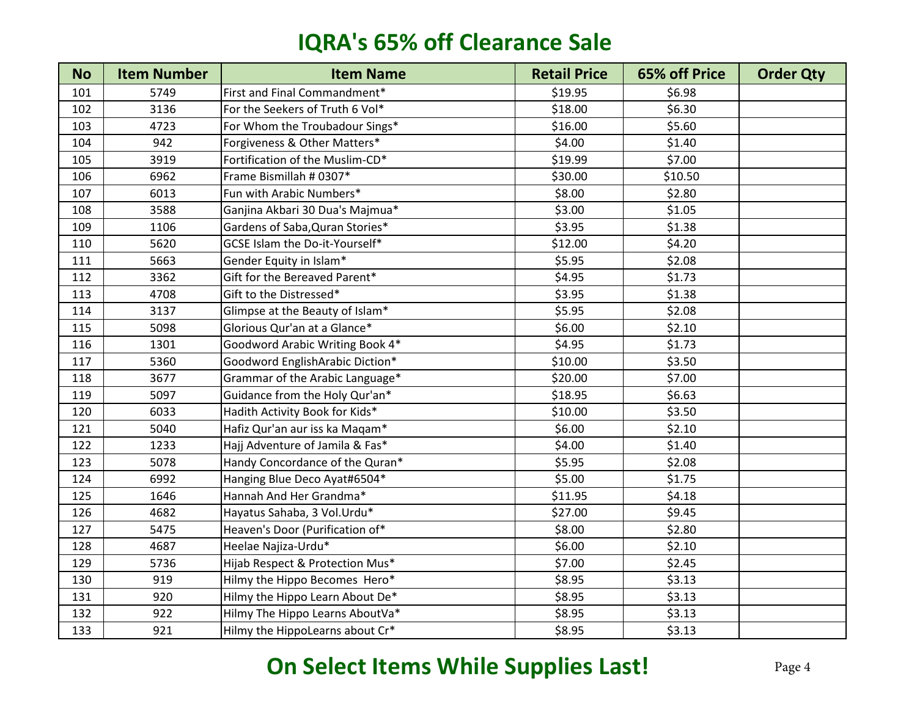| <b>No</b> | <b>Item Number</b> | <b>Item Name</b>                | <b>Retail Price</b> | 65% off Price | <b>Order Qty</b> |
|-----------|--------------------|---------------------------------|---------------------|---------------|------------------|
| 101       | 5749               | First and Final Commandment*    | \$19.95             | \$6.98        |                  |
| 102       | 3136               | For the Seekers of Truth 6 Vol* | \$18.00             | \$6.30        |                  |
| 103       | 4723               | For Whom the Troubadour Sings*  | \$16.00             | \$5.60        |                  |
| 104       | 942                | Forgiveness & Other Matters*    | \$4.00              | \$1.40        |                  |
| 105       | 3919               | Fortification of the Muslim-CD* | \$19.99             | \$7.00        |                  |
| 106       | 6962               | Frame Bismillah # 0307*         | \$30.00             | \$10.50       |                  |
| 107       | 6013               | Fun with Arabic Numbers*        | \$8.00              | \$2.80        |                  |
| 108       | 3588               | Ganjina Akbari 30 Dua's Majmua* | \$3.00              | \$1.05        |                  |
| 109       | 1106               | Gardens of Saba, Quran Stories* | \$3.95              | \$1.38        |                  |
| 110       | 5620               | GCSE Islam the Do-it-Yourself*  | \$12.00             | \$4.20        |                  |
| 111       | 5663               | Gender Equity in Islam*         | \$5.95              | \$2.08        |                  |
| 112       | 3362               | Gift for the Bereaved Parent*   | \$4.95              | \$1.73        |                  |
| 113       | 4708               | Gift to the Distressed*         | \$3.95              | \$1.38        |                  |
| 114       | 3137               | Glimpse at the Beauty of Islam* | \$5.95              | \$2.08        |                  |
| 115       | 5098               | Glorious Qur'an at a Glance*    | \$6.00              | \$2.10        |                  |
| 116       | 1301               | Goodword Arabic Writing Book 4* | \$4.95              | \$1.73        |                  |
| 117       | 5360               | Goodword EnglishArabic Diction* | \$10.00             | \$3.50        |                  |
| 118       | 3677               | Grammar of the Arabic Language* | \$20.00             | \$7.00        |                  |
| 119       | 5097               | Guidance from the Holy Qur'an*  | \$18.95             | \$6.63        |                  |
| 120       | 6033               | Hadith Activity Book for Kids*  | \$10.00             | \$3.50        |                  |
| 121       | 5040               | Hafiz Qur'an aur iss ka Maqam*  | \$6.00              | \$2.10        |                  |
| 122       | 1233               | Hajj Adventure of Jamila & Fas* | \$4.00              | \$1.40        |                  |
| 123       | 5078               | Handy Concordance of the Quran* | \$5.95              | \$2.08        |                  |
| 124       | 6992               | Hanging Blue Deco Ayat#6504*    | \$5.00              | \$1.75        |                  |
| 125       | 1646               | Hannah And Her Grandma*         | \$11.95             | \$4.18        |                  |
| 126       | 4682               | Hayatus Sahaba, 3 Vol.Urdu*     | \$27.00             | \$9.45        |                  |
| 127       | 5475               | Heaven's Door (Purification of* | \$8.00              | \$2.80        |                  |
| 128       | 4687               | Heelae Najiza-Urdu*             | \$6.00              | \$2.10        |                  |
| 129       | 5736               | Hijab Respect & Protection Mus* | \$7.00              | \$2.45        |                  |
| 130       | 919                | Hilmy the Hippo Becomes Hero*   | \$8.95              | \$3.13        |                  |
| 131       | 920                | Hilmy the Hippo Learn About De* | \$8.95              | \$3.13        |                  |
| 132       | 922                | Hilmy The Hippo Learns AboutVa* | \$8.95              | \$3.13        |                  |
| 133       | 921                | Hilmy the HippoLearns about Cr* | \$8.95              | \$3.13        |                  |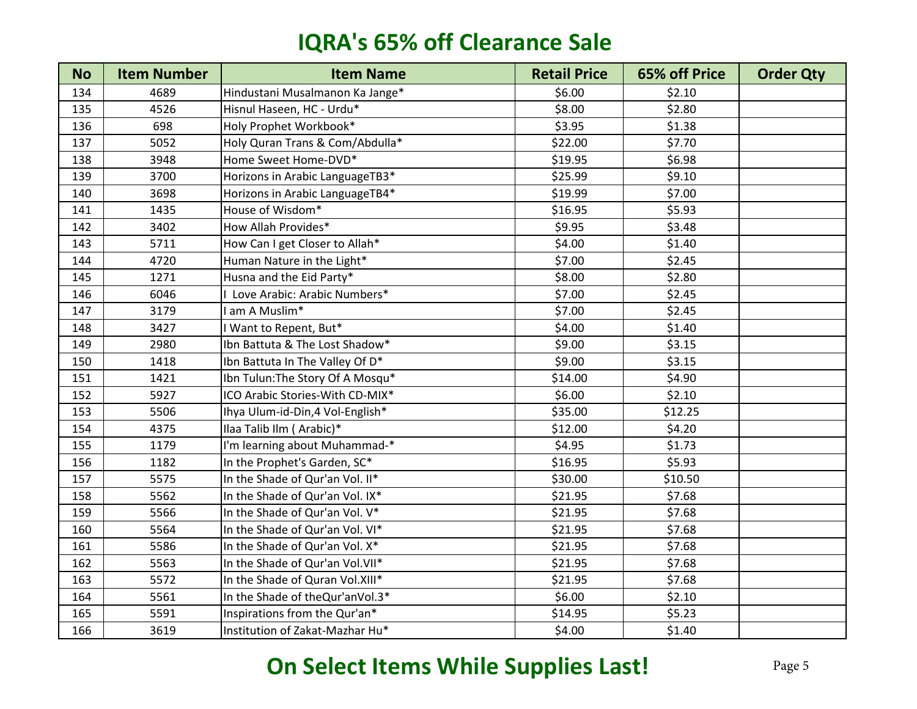| <b>No</b> | <b>Item Number</b> | <b>Item Name</b>                  | <b>Retail Price</b> | 65% off Price | <b>Order Qty</b> |
|-----------|--------------------|-----------------------------------|---------------------|---------------|------------------|
| 134       | 4689               | Hindustani Musalmanon Ka Jange*   | \$6.00              | \$2.10        |                  |
| 135       | 4526               | Hisnul Haseen, HC - Urdu*         | \$8.00              | \$2.80        |                  |
| 136       | 698                | Holy Prophet Workbook*            | \$3.95              | \$1.38        |                  |
| 137       | 5052               | Holy Quran Trans & Com/Abdulla*   | \$22.00             | \$7.70        |                  |
| 138       | 3948               | Home Sweet Home-DVD*              | \$19.95             | \$6.98        |                  |
| 139       | 3700               | Horizons in Arabic LanguageTB3*   | \$25.99             | \$9.10        |                  |
| 140       | 3698               | Horizons in Arabic LanguageTB4*   | \$19.99             | \$7.00        |                  |
| 141       | 1435               | House of Wisdom*                  | \$16.95             | \$5.93        |                  |
| 142       | 3402               | How Allah Provides*               | \$9.95              | \$3.48        |                  |
| 143       | 5711               | How Can I get Closer to Allah*    | \$4.00              | \$1.40        |                  |
| 144       | 4720               | Human Nature in the Light*        | \$7.00              | \$2.45        |                  |
| 145       | 1271               | Husna and the Eid Party*          | \$8.00              | \$2.80        |                  |
| 146       | 6046               | Love Arabic: Arabic Numbers*      | \$7.00              | \$2.45        |                  |
| 147       | 3179               | am A Muslim*                      | \$7.00              | \$2.45        |                  |
| 148       | 3427               | Want to Repent, But*              | \$4.00              | \$1.40        |                  |
| 149       | 2980               | Ibn Battuta & The Lost Shadow*    | \$9.00              | \$3.15        |                  |
| 150       | 1418               | Ibn Battuta In The Valley Of D*   | \$9.00              | \$3.15        |                  |
| 151       | 1421               | Ibn Tulun: The Story Of A Mosqu*  | \$14.00             | \$4.90        |                  |
| 152       | 5927               | ICO Arabic Stories-With CD-MIX*   | \$6.00              | \$2.10        |                  |
| 153       | 5506               | Ihya Ulum-id-Din, 4 Vol-English*  | \$35.00             | \$12.25       |                  |
| 154       | 4375               | Ilaa Talib Ilm (Arabic)*          | \$12.00             | \$4.20        |                  |
| 155       | 1179               | I'm learning about Muhammad-*     | \$4.95              | \$1.73        |                  |
| 156       | 1182               | In the Prophet's Garden, SC*      | \$16.95             | \$5.93        |                  |
| 157       | 5575               | In the Shade of Qur'an Vol. II*   | \$30.00             | \$10.50       |                  |
| 158       | 5562               | In the Shade of Qur'an Vol. IX*   | \$21.95             | \$7.68        |                  |
| 159       | 5566               | In the Shade of Qur'an Vol. V*    | \$21.95             | \$7.68        |                  |
| 160       | 5564               | In the Shade of Qur'an Vol. VI*   | \$21.95             | \$7.68        |                  |
| 161       | 5586               | In the Shade of Qur'an Vol. X*    | \$21.95             | \$7.68        |                  |
| 162       | 5563               | In the Shade of Qur'an Vol. VII*  | \$21.95             | \$7.68        |                  |
| 163       | 5572               | In the Shade of Quran Vol.XIII*   | \$21.95             | \$7.68        |                  |
| 164       | 5561               | In the Shade of the Qur'an Vol.3* | \$6.00              | \$2.10        |                  |
| 165       | 5591               | Inspirations from the Qur'an*     | \$14.95             | \$5.23        |                  |
| 166       | 3619               | Institution of Zakat-Mazhar Hu*   | \$4.00              | \$1.40        |                  |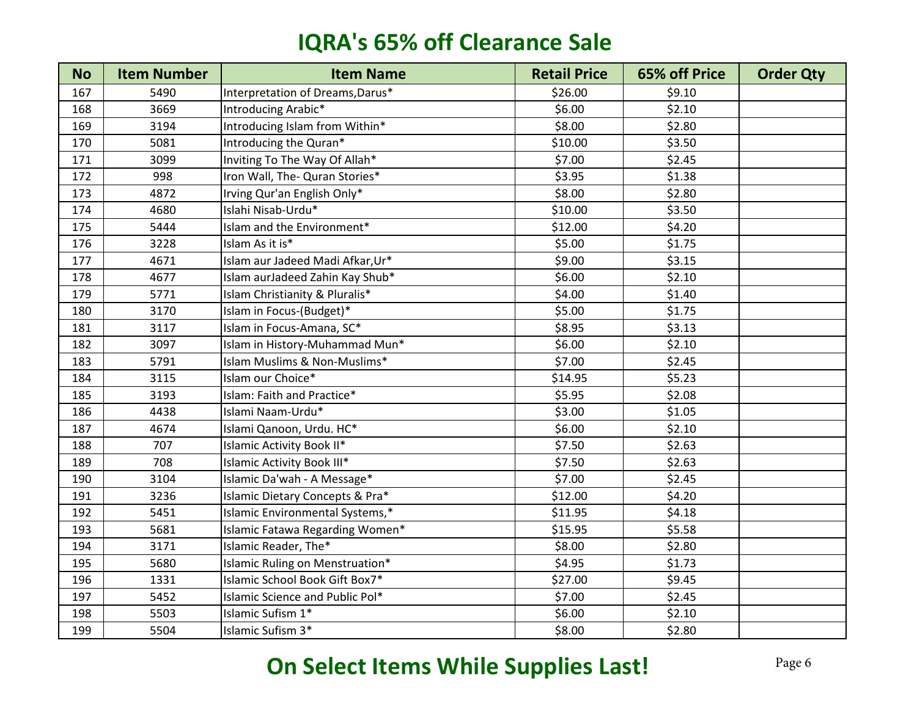| <b>No</b> | <b>Item Number</b> | <b>Item Name</b>                 | <b>Retail Price</b> | 65% off Price | <b>Order Qty</b> |
|-----------|--------------------|----------------------------------|---------------------|---------------|------------------|
| 167       | 5490               | Interpretation of Dreams, Darus* | \$26.00             | \$9.10        |                  |
| 168       | 3669               | Introducing Arabic*              | \$6.00              | \$2.10        |                  |
| 169       | 3194               | Introducing Islam from Within*   | \$8.00              | \$2.80        |                  |
| 170       | 5081               | Introducing the Quran*           | \$10.00             | \$3.50        |                  |
| 171       | 3099               | Inviting To The Way Of Allah*    | \$7.00              | \$2.45        |                  |
| 172       | 998                | Iron Wall, The- Quran Stories*   | \$3.95              | \$1.38        |                  |
| 173       | 4872               | Irving Qur'an English Only*      | \$8.00              | \$2.80        |                  |
| 174       | 4680               | Islahi Nisab-Urdu*               | \$10.00             | \$3.50        |                  |
| 175       | 5444               | Islam and the Environment*       | \$12.00             | \$4.20        |                  |
| 176       | 3228               | Islam As it is*                  | \$5.00              | \$1.75        |                  |
| 177       | 4671               | Islam aur Jadeed Madi Afkar, Ur* | \$9.00              | \$3.15        |                  |
| 178       | 4677               | Islam aurJadeed Zahin Kay Shub*  | \$6.00              | \$2.10        |                  |
| 179       | 5771               | Islam Christianity & Pluralis*   | \$4.00              | \$1.40        |                  |
| 180       | 3170               | Islam in Focus-(Budget)*         | \$5.00              | \$1.75        |                  |
| 181       | 3117               | Islam in Focus-Amana, SC*        | \$8.95              | \$3.13        |                  |
| 182       | 3097               | Islam in History-Muhammad Mun*   | \$6.00              | \$2.10        |                  |
| 183       | 5791               | Islam Muslims & Non-Muslims*     | \$7.00              | \$2.45        |                  |
| 184       | 3115               | Islam our Choice*                | \$14.95             | \$5.23        |                  |
| 185       | 3193               | Islam: Faith and Practice*       | \$5.95              | \$2.08        |                  |
| 186       | 4438               | Islami Naam-Urdu*                | \$3.00              | \$1.05        |                  |
| 187       | 4674               | Islami Qanoon, Urdu. HC*         | \$6.00              | \$2.10        |                  |
| 188       | 707                | Islamic Activity Book II*        | \$7.50              | \$2.63        |                  |
| 189       | 708                | Islamic Activity Book III*       | \$7.50              | \$2.63        |                  |
| 190       | 3104               | Islamic Da'wah - A Message*      | \$7.00              | \$2.45        |                  |
| 191       | 3236               | Islamic Dietary Concepts & Pra*  | \$12.00             | \$4.20        |                  |
| 192       | 5451               | Islamic Environmental Systems,*  | \$11.95             | \$4.18        |                  |
| 193       | 5681               | Islamic Fatawa Regarding Women*  | \$15.95             | \$5.58        |                  |
| 194       | 3171               | Islamic Reader, The*             | \$8.00              | \$2.80        |                  |
| 195       | 5680               | Islamic Ruling on Menstruation*  | \$4.95              | \$1.73        |                  |
| 196       | 1331               | Islamic School Book Gift Box7*   | \$27.00             | \$9.45        |                  |
| 197       | 5452               | Islamic Science and Public Pol*  | \$7.00              | \$2.45        |                  |
| 198       | 5503               | Islamic Sufism 1*                | \$6.00              | \$2.10        |                  |
| 199       | 5504               | Islamic Sufism 3*                | \$8.00              | \$2.80        |                  |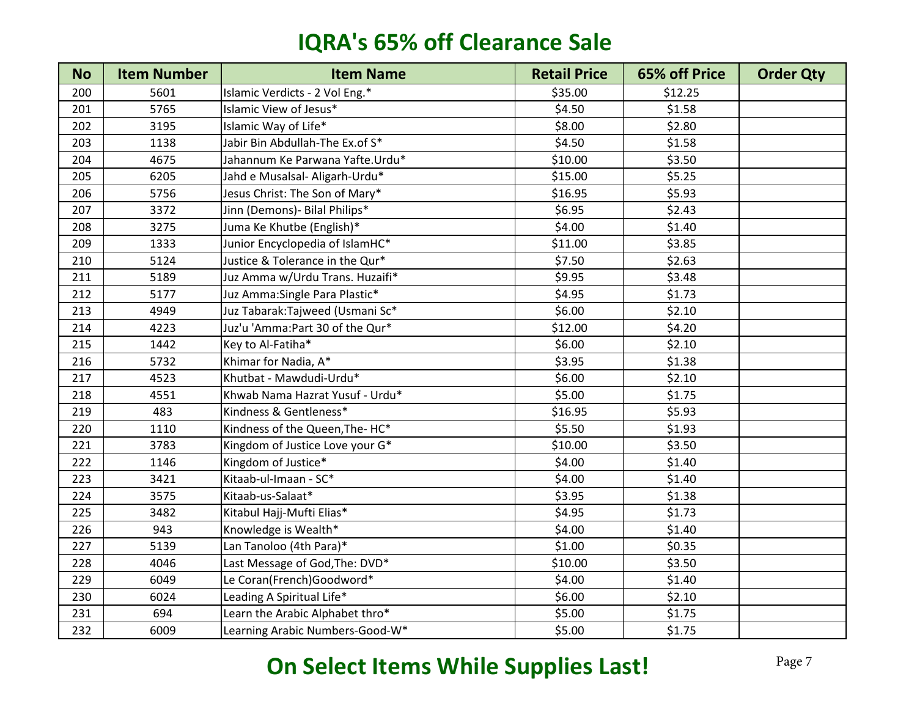| <b>No</b> | <b>Item Number</b> | <b>Item Name</b>                | <b>Retail Price</b> | 65% off Price | <b>Order Qty</b> |
|-----------|--------------------|---------------------------------|---------------------|---------------|------------------|
| 200       | 5601               | Islamic Verdicts - 2 Vol Eng.*  | \$35.00             | \$12.25       |                  |
| 201       | 5765               | Islamic View of Jesus*          | \$4.50              | \$1.58        |                  |
| 202       | 3195               | Islamic Way of Life*            | \$8.00              | \$2.80        |                  |
| 203       | 1138               | Jabir Bin Abdullah-The Ex.of S* | \$4.50              | \$1.58        |                  |
| 204       | 4675               | Jahannum Ke Parwana Yafte.Urdu* | \$10.00             | \$3.50        |                  |
| 205       | 6205               | Jahd e Musalsal- Aligarh-Urdu*  | \$15.00             | \$5.25        |                  |
| 206       | 5756               | Jesus Christ: The Son of Mary*  | \$16.95             | \$5.93        |                  |
| 207       | 3372               | Jinn (Demons) - Bilal Philips*  | \$6.95              | \$2.43        |                  |
| 208       | 3275               | Juma Ke Khutbe (English)*       | \$4.00              | \$1.40        |                  |
| 209       | 1333               | Junior Encyclopedia of IslamHC* | \$11.00             | \$3.85        |                  |
| 210       | 5124               | Justice & Tolerance in the Qur* | \$7.50              | \$2.63        |                  |
| 211       | 5189               | Juz Amma w/Urdu Trans. Huzaifi* | \$9.95              | \$3.48        |                  |
| 212       | 5177               | Juz Amma: Single Para Plastic*  | \$4.95              | \$1.73        |                  |
| 213       | 4949               | Juz Tabarak:Tajweed (Usmani Sc* | \$6.00              | \$2.10        |                  |
| 214       | 4223               | Juz'u 'Amma:Part 30 of the Qur* | \$12.00             | \$4.20        |                  |
| 215       | 1442               | Key to Al-Fatiha*               | \$6.00              | \$2.10        |                  |
| 216       | 5732               | Khimar for Nadia, A*            | \$3.95              | \$1.38        |                  |
| 217       | 4523               | Khutbat - Mawdudi-Urdu*         | \$6.00              | \$2.10        |                  |
| 218       | 4551               | Khwab Nama Hazrat Yusuf - Urdu* | \$5.00              | \$1.75        |                  |
| 219       | 483                | Kindness & Gentleness*          | \$16.95             | \$5.93        |                  |
| 220       | 1110               | Kindness of the Queen, The-HC*  | \$5.50              | \$1.93        |                  |
| 221       | 3783               | Kingdom of Justice Love your G* | \$10.00             | \$3.50        |                  |
| 222       | 1146               | Kingdom of Justice*             | \$4.00              | \$1.40        |                  |
| 223       | 3421               | Kitaab-ul-Imaan - SC*           | \$4.00              | \$1.40        |                  |
| 224       | 3575               | Kitaab-us-Salaat*               | \$3.95              | \$1.38        |                  |
| 225       | 3482               | Kitabul Hajj-Mufti Elias*       | \$4.95              | \$1.73        |                  |
| 226       | 943                | Knowledge is Wealth*            | \$4.00              | \$1.40        |                  |
| 227       | 5139               | Lan Tanoloo (4th Para)*         | \$1.00              | \$0.35        |                  |
| 228       | 4046               | Last Message of God, The: DVD*  | \$10.00             | \$3.50        |                  |
| 229       | 6049               | Le Coran(French)Goodword*       | \$4.00              | \$1.40        |                  |
| 230       | 6024               | Leading A Spiritual Life*       | \$6.00              | \$2.10        |                  |
| 231       | 694                | Learn the Arabic Alphabet thro* | \$5.00              | \$1.75        |                  |
| 232       | 6009               | Learning Arabic Numbers-Good-W* | \$5.00              | \$1.75        |                  |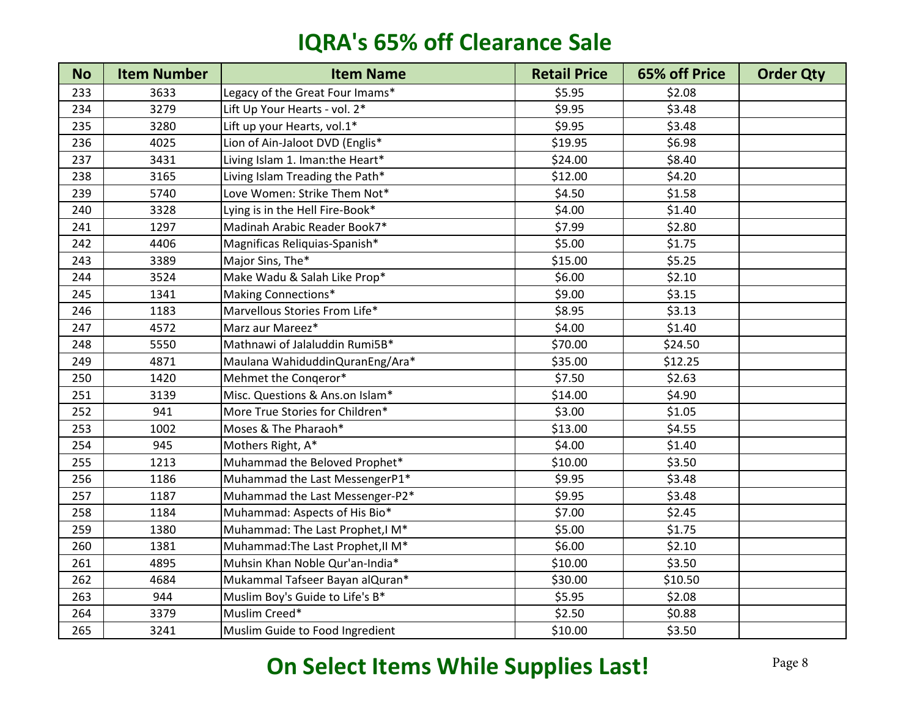| <b>No</b> | <b>Item Number</b> | <b>Item Name</b>                  | <b>Retail Price</b> | 65% off Price | <b>Order Qty</b> |
|-----------|--------------------|-----------------------------------|---------------------|---------------|------------------|
| 233       | 3633               | Legacy of the Great Four Imams*   | \$5.95              | \$2.08        |                  |
| 234       | 3279               | Lift Up Your Hearts - vol. 2*     | \$9.95              | \$3.48        |                  |
| 235       | 3280               | Lift up your Hearts, vol.1*       | \$9.95              | \$3.48        |                  |
| 236       | 4025               | Lion of Ain-Jaloot DVD (Englis*   | \$19.95             | \$6.98        |                  |
| 237       | 3431               | Living Islam 1. Iman:the Heart*   | \$24.00             | \$8.40        |                  |
| 238       | 3165               | Living Islam Treading the Path*   | \$12.00             | \$4.20        |                  |
| 239       | 5740               | Love Women: Strike Them Not*      | \$4.50              | \$1.58        |                  |
| 240       | 3328               | Lying is in the Hell Fire-Book*   | \$4.00              | \$1.40        |                  |
| 241       | 1297               | Madinah Arabic Reader Book7*      | \$7.99              | \$2.80        |                  |
| 242       | 4406               | Magnificas Reliquias-Spanish*     | \$5.00              | \$1.75        |                  |
| 243       | 3389               | Major Sins, The*                  | \$15.00             | \$5.25        |                  |
| 244       | 3524               | Make Wadu & Salah Like Prop*      | \$6.00              | \$2.10        |                  |
| 245       | 1341               | Making Connections*               | \$9.00              | \$3.15        |                  |
| 246       | 1183               | Marvellous Stories From Life*     | \$8.95              | \$3.13        |                  |
| 247       | 4572               | Marz aur Mareez*                  | \$4.00              | \$1.40        |                  |
| 248       | 5550               | Mathnawi of Jalaluddin Rumi5B*    | \$70.00             | \$24.50       |                  |
| 249       | 4871               | Maulana WahiduddinQuranEng/Ara*   | \$35.00             | \$12.25       |                  |
| 250       | 1420               | Mehmet the Congeror*              | \$7.50              | \$2.63        |                  |
| 251       | 3139               | Misc. Questions & Ans.on Islam*   | \$14.00             | \$4.90        |                  |
| 252       | 941                | More True Stories for Children*   | \$3.00              | \$1.05        |                  |
| 253       | 1002               | Moses & The Pharaoh*              | \$13.00             | \$4.55        |                  |
| 254       | 945                | Mothers Right, A*                 | \$4.00              | \$1.40        |                  |
| 255       | 1213               | Muhammad the Beloved Prophet*     | \$10.00             | \$3.50        |                  |
| 256       | 1186               | Muhammad the Last MessengerP1*    | \$9.95              | \$3.48        |                  |
| 257       | 1187               | Muhammad the Last Messenger-P2*   | \$9.95              | \$3.48        |                  |
| 258       | 1184               | Muhammad: Aspects of His Bio*     | \$7.00              | \$2.45        |                  |
| 259       | 1380               | Muhammad: The Last Prophet, I M*  | \$5.00              | \$1.75        |                  |
| 260       | 1381               | Muhammad: The Last Prophet, II M* | \$6.00              | \$2.10        |                  |
| 261       | 4895               | Muhsin Khan Noble Qur'an-India*   | \$10.00             | \$3.50        |                  |
| 262       | 4684               | Mukammal Tafseer Bayan alQuran*   | \$30.00             | \$10.50       |                  |
| 263       | 944                | Muslim Boy's Guide to Life's B*   | \$5.95              | \$2.08        |                  |
| 264       | 3379               | Muslim Creed*                     | \$2.50              | \$0.88        |                  |
| 265       | 3241               | Muslim Guide to Food Ingredient   | \$10.00             | \$3.50        |                  |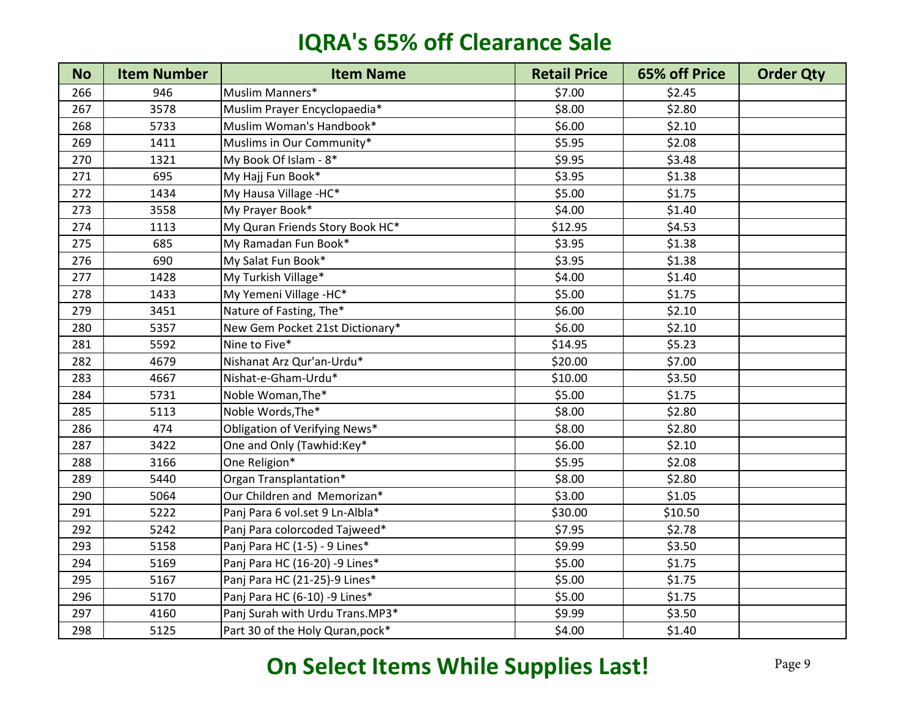| <b>No</b> | <b>Item Number</b> | <b>Item Name</b>                 | <b>Retail Price</b> | 65% off Price | <b>Order Qty</b> |
|-----------|--------------------|----------------------------------|---------------------|---------------|------------------|
| 266       | 946                | Muslim Manners*                  | \$7.00              | \$2.45        |                  |
| 267       | 3578               | Muslim Prayer Encyclopaedia*     | \$8.00              | \$2.80        |                  |
| 268       | 5733               | Muslim Woman's Handbook*         | \$6.00              | \$2.10        |                  |
| 269       | 1411               | Muslims in Our Community*        | \$5.95              | \$2.08        |                  |
| 270       | 1321               | My Book Of Islam - 8*            | \$9.95              | \$3.48        |                  |
| 271       | 695                | My Hajj Fun Book*                | \$3.95              | \$1.38        |                  |
| 272       | 1434               | My Hausa Village -HC*            | \$5.00              | \$1.75        |                  |
| 273       | 3558               | My Prayer Book*                  | \$4.00              | \$1.40        |                  |
| 274       | 1113               | My Quran Friends Story Book HC*  | \$12.95             | \$4.53        |                  |
| 275       | 685                | My Ramadan Fun Book*             | \$3.95              | \$1.38        |                  |
| 276       | 690                | My Salat Fun Book*               | \$3.95              | \$1.38        |                  |
| 277       | 1428               | My Turkish Village*              | \$4.00              | \$1.40        |                  |
| 278       | 1433               | My Yemeni Village -HC*           | \$5.00              | \$1.75        |                  |
| 279       | 3451               | Nature of Fasting, The*          | \$6.00              | \$2.10        |                  |
| 280       | 5357               | New Gem Pocket 21st Dictionary*  | \$6.00              | \$2.10        |                  |
| 281       | 5592               | Nine to Five*                    | \$14.95             | \$5.23        |                  |
| 282       | 4679               | Nishanat Arz Qur'an-Urdu*        | \$20.00             | \$7.00        |                  |
| 283       | 4667               | Nishat-e-Gham-Urdu*              | \$10.00             | \$3.50        |                  |
| 284       | 5731               | Noble Woman, The*                | \$5.00              | \$1.75        |                  |
| 285       | 5113               | Noble Words, The*                | \$8.00              | \$2.80        |                  |
| 286       | 474                | Obligation of Verifying News*    | \$8.00              | \$2.80        |                  |
| 287       | 3422               | One and Only (Tawhid:Key*        | \$6.00              | \$2.10        |                  |
| 288       | 3166               | One Religion*                    | \$5.95              | \$2.08        |                  |
| 289       | 5440               | Organ Transplantation*           | \$8.00              | \$2.80        |                  |
| 290       | 5064               | Our Children and Memorizan*      | \$3.00              | \$1.05        |                  |
| 291       | 5222               | Panj Para 6 vol.set 9 Ln-Albla*  | \$30.00             | \$10.50       |                  |
| 292       | 5242               | Panj Para colorcoded Tajweed*    | \$7.95              | \$2.78        |                  |
| 293       | 5158               | Panj Para HC (1-5) - 9 Lines*    | \$9.99              | \$3.50        |                  |
| 294       | 5169               | Panj Para HC (16-20) -9 Lines*   | \$5.00              | \$1.75        |                  |
| 295       | 5167               | Panj Para HC (21-25)-9 Lines*    | \$5.00              | \$1.75        |                  |
| 296       | 5170               | Panj Para HC (6-10) -9 Lines*    | \$5.00              | \$1.75        |                  |
| 297       | 4160               | Panj Surah with Urdu Trans.MP3*  | \$9.99              | \$3.50        |                  |
| 298       | 5125               | Part 30 of the Holy Quran, pock* | \$4.00              | \$1.40        |                  |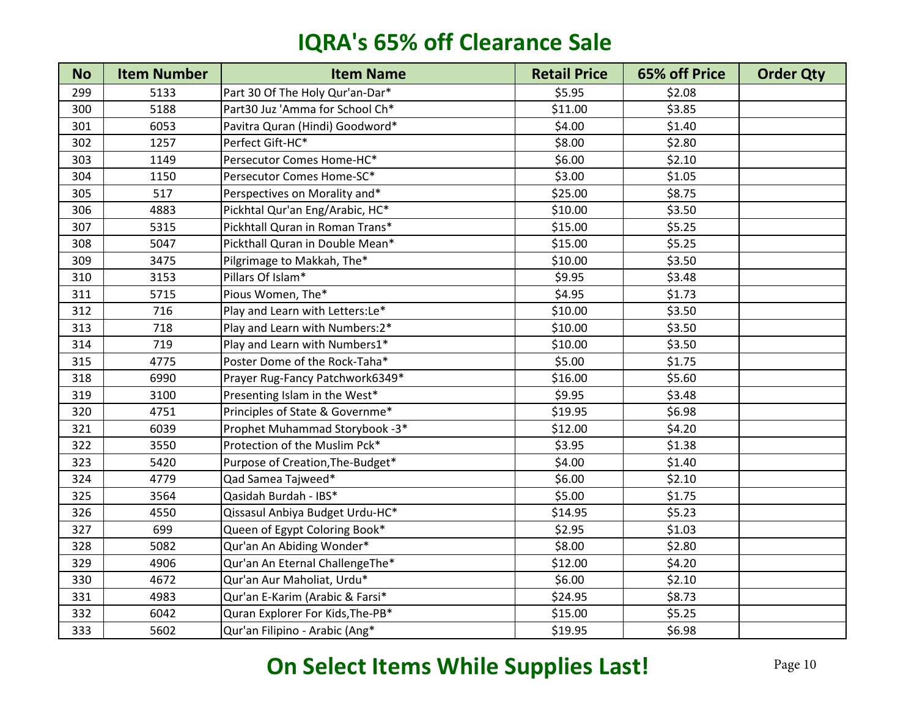| <b>No</b> | <b>Item Number</b> | <b>Item Name</b>                 | <b>Retail Price</b> | 65% off Price | <b>Order Qty</b> |
|-----------|--------------------|----------------------------------|---------------------|---------------|------------------|
| 299       | 5133               | Part 30 Of The Holy Qur'an-Dar*  | \$5.95              | \$2.08        |                  |
| 300       | 5188               | Part30 Juz 'Amma for School Ch*  | \$11.00             | \$3.85        |                  |
| 301       | 6053               | Pavitra Quran (Hindi) Goodword*  | \$4.00              | \$1.40        |                  |
| 302       | 1257               | Perfect Gift-HC*                 | \$8.00              | \$2.80        |                  |
| 303       | 1149               | Persecutor Comes Home-HC*        | \$6.00              | \$2.10        |                  |
| 304       | 1150               | Persecutor Comes Home-SC*        | \$3.00              | \$1.05        |                  |
| 305       | 517                | Perspectives on Morality and*    | \$25.00             | \$8.75        |                  |
| 306       | 4883               | Pickhtal Qur'an Eng/Arabic, HC*  | \$10.00             | \$3.50        |                  |
| 307       | 5315               | Pickhtall Quran in Roman Trans*  | \$15.00             | \$5.25        |                  |
| 308       | 5047               | Pickthall Quran in Double Mean*  | \$15.00             | \$5.25        |                  |
| 309       | 3475               | Pilgrimage to Makkah, The*       | \$10.00             | \$3.50        |                  |
| 310       | 3153               | Pillars Of Islam*                | \$9.95              | \$3.48        |                  |
| 311       | 5715               | Pious Women, The*                | \$4.95              | \$1.73        |                  |
| 312       | 716                | Play and Learn with Letters: Le* | \$10.00             | \$3.50        |                  |
| 313       | 718                | Play and Learn with Numbers: 2*  | \$10.00             | \$3.50        |                  |
| 314       | 719                | Play and Learn with Numbers1*    | \$10.00             | \$3.50        |                  |
| 315       | 4775               | Poster Dome of the Rock-Taha*    | \$5.00              | \$1.75        |                  |
| 318       | 6990               | Prayer Rug-Fancy Patchwork6349*  | \$16.00             | \$5.60        |                  |
| 319       | 3100               | Presenting Islam in the West*    | \$9.95              | \$3.48        |                  |
| 320       | 4751               | Principles of State & Governme*  | \$19.95             | \$6.98        |                  |
| 321       | 6039               | Prophet Muhammad Storybook -3*   | \$12.00             | \$4.20        |                  |
| 322       | 3550               | Protection of the Muslim Pck*    | \$3.95              | \$1.38        |                  |
| 323       | 5420               | Purpose of Creation, The-Budget* | \$4.00              | \$1.40        |                  |
| 324       | 4779               | Qad Samea Tajweed*               | \$6.00              | \$2.10        |                  |
| 325       | 3564               | Qasidah Burdah - IBS*            | \$5.00              | \$1.75        |                  |
| 326       | 4550               | Qissasul Anbiya Budget Urdu-HC*  | \$14.95             | \$5.23        |                  |
| 327       | 699                | Queen of Egypt Coloring Book*    | \$2.95              | \$1.03        |                  |
| 328       | 5082               | Qur'an An Abiding Wonder*        | \$8.00              | \$2.80        |                  |
| 329       | 4906               | Qur'an An Eternal ChallengeThe*  | \$12.00             | \$4.20        |                  |
| 330       | 4672               | Qur'an Aur Maholiat, Urdu*       | \$6.00              | \$2.10        |                  |
| 331       | 4983               | Qur'an E-Karim (Arabic & Farsi*  | \$24.95             | \$8.73        |                  |
| 332       | 6042               | Quran Explorer For Kids, The-PB* | \$15.00             | \$5.25        |                  |
| 333       | 5602               | Qur'an Filipino - Arabic (Ang*   | \$19.95             | \$6.98        |                  |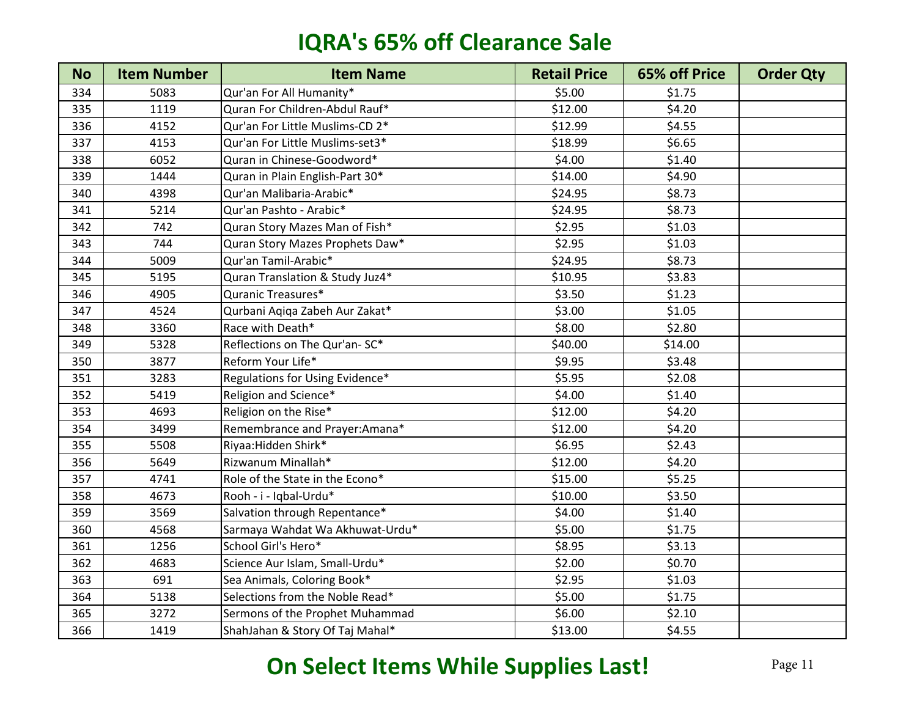| <b>No</b> | <b>Item Number</b> | <b>Item Name</b>                | <b>Retail Price</b> | 65% off Price | <b>Order Qty</b> |
|-----------|--------------------|---------------------------------|---------------------|---------------|------------------|
| 334       | 5083               | Qur'an For All Humanity*        | \$5.00              | \$1.75        |                  |
| 335       | 1119               | Quran For Children-Abdul Rauf*  | \$12.00             | \$4.20        |                  |
| 336       | 4152               | Qur'an For Little Muslims-CD 2* | \$12.99             | \$4.55        |                  |
| 337       | 4153               | Qur'an For Little Muslims-set3* | \$18.99             | \$6.65        |                  |
| 338       | 6052               | Quran in Chinese-Goodword*      | \$4.00              | \$1.40        |                  |
| 339       | 1444               | Quran in Plain English-Part 30* | \$14.00             | \$4.90        |                  |
| 340       | 4398               | Qur'an Malibaria-Arabic*        | \$24.95             | \$8.73        |                  |
| 341       | 5214               | Qur'an Pashto - Arabic*         | \$24.95             | \$8.73        |                  |
| 342       | 742                | Quran Story Mazes Man of Fish*  | \$2.95              | \$1.03        |                  |
| 343       | 744                | Quran Story Mazes Prophets Daw* | \$2.95              | \$1.03        |                  |
| 344       | 5009               | Qur'an Tamil-Arabic*            | \$24.95             | \$8.73        |                  |
| 345       | 5195               | Quran Translation & Study Juz4* | \$10.95             | \$3.83        |                  |
| 346       | 4905               | Quranic Treasures*              | \$3.50              | \$1.23        |                  |
| 347       | 4524               | Qurbani Aqiqa Zabeh Aur Zakat*  | \$3.00              | \$1.05        |                  |
| 348       | 3360               | Race with Death*                | \$8.00              | \$2.80        |                  |
| 349       | 5328               | Reflections on The Qur'an-SC*   | \$40.00             | \$14.00       |                  |
| 350       | 3877               | Reform Your Life*               | \$9.95              | \$3.48        |                  |
| 351       | 3283               | Regulations for Using Evidence* | \$5.95              | \$2.08        |                  |
| 352       | 5419               | Religion and Science*           | \$4.00              | \$1.40        |                  |
| 353       | 4693               | Religion on the Rise*           | \$12.00             | \$4.20        |                  |
| 354       | 3499               | Remembrance and Prayer:Amana*   | \$12.00             | \$4.20        |                  |
| 355       | 5508               | Riyaa: Hidden Shirk*            | \$6.95              | \$2.43        |                  |
| 356       | 5649               | Rizwanum Minallah*              | \$12.00             | \$4.20        |                  |
| 357       | 4741               | Role of the State in the Econo* | \$15.00             | \$5.25        |                  |
| 358       | 4673               | Rooh - i - Iqbal-Urdu*          | \$10.00             | \$3.50        |                  |
| 359       | 3569               | Salvation through Repentance*   | \$4.00              | \$1.40        |                  |
| 360       | 4568               | Sarmaya Wahdat Wa Akhuwat-Urdu* | \$5.00              | \$1.75        |                  |
| 361       | 1256               | School Girl's Hero*             | \$8.95              | \$3.13        |                  |
| 362       | 4683               | Science Aur Islam, Small-Urdu*  | \$2.00              | \$0.70        |                  |
| 363       | 691                | Sea Animals, Coloring Book*     | \$2.95              | \$1.03        |                  |
| 364       | 5138               | Selections from the Noble Read* | \$5.00              | \$1.75        |                  |
| 365       | 3272               | Sermons of the Prophet Muhammad | \$6.00              | \$2.10        |                  |
| 366       | 1419               | ShahJahan & Story Of Taj Mahal* | \$13.00             | \$4.55        |                  |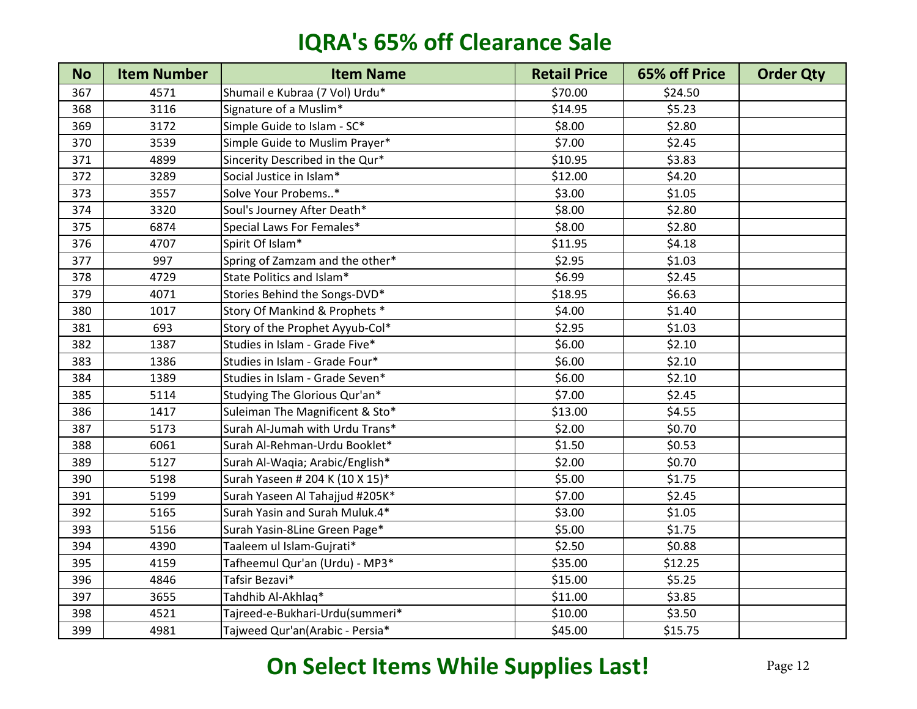| <b>No</b> | <b>Item Number</b> | <b>Item Name</b>                | <b>Retail Price</b> | 65% off Price | <b>Order Qty</b> |
|-----------|--------------------|---------------------------------|---------------------|---------------|------------------|
| 367       | 4571               | Shumail e Kubraa (7 Vol) Urdu*  | \$70.00             | \$24.50       |                  |
| 368       | 3116               | Signature of a Muslim*          | \$14.95             | \$5.23        |                  |
| 369       | 3172               | Simple Guide to Islam - SC*     | \$8.00              | \$2.80        |                  |
| 370       | 3539               | Simple Guide to Muslim Prayer*  | \$7.00              | \$2.45        |                  |
| 371       | 4899               | Sincerity Described in the Qur* | \$10.95             | \$3.83        |                  |
| 372       | 3289               | Social Justice in Islam*        | \$12.00             | \$4.20        |                  |
| 373       | 3557               | Solve Your Probems*             | \$3.00              | \$1.05        |                  |
| 374       | 3320               | Soul's Journey After Death*     | \$8.00              | \$2.80        |                  |
| 375       | 6874               | Special Laws For Females*       | \$8.00              | \$2.80        |                  |
| 376       | 4707               | Spirit Of Islam*                | \$11.95             | \$4.18        |                  |
| 377       | 997                | Spring of Zamzam and the other* | \$2.95              | \$1.03        |                  |
| 378       | 4729               | State Politics and Islam*       | \$6.99              | \$2.45        |                  |
| 379       | 4071               | Stories Behind the Songs-DVD*   | \$18.95             | \$6.63        |                  |
| 380       | 1017               | Story Of Mankind & Prophets *   | \$4.00              | \$1.40        |                  |
| 381       | 693                | Story of the Prophet Ayyub-Col* | \$2.95              | \$1.03        |                  |
| 382       | 1387               | Studies in Islam - Grade Five*  | \$6.00              | \$2.10        |                  |
| 383       | 1386               | Studies in Islam - Grade Four*  | \$6.00              | \$2.10        |                  |
| 384       | 1389               | Studies in Islam - Grade Seven* | \$6.00              | \$2.10        |                  |
| 385       | 5114               | Studying The Glorious Qur'an*   | \$7.00              | \$2.45        |                  |
| 386       | 1417               | Suleiman The Magnificent & Sto* | \$13.00             | \$4.55        |                  |
| 387       | 5173               | Surah Al-Jumah with Urdu Trans* | \$2.00              | \$0.70        |                  |
| 388       | 6061               | Surah Al-Rehman-Urdu Booklet*   | \$1.50              | \$0.53        |                  |
| 389       | 5127               | Surah Al-Waqia; Arabic/English* | \$2.00              | \$0.70        |                  |
| 390       | 5198               | Surah Yaseen # 204 K (10 X 15)* | \$5.00              | \$1.75        |                  |
| 391       | 5199               | Surah Yaseen Al Tahajjud #205K* | \$7.00              | \$2.45        |                  |
| 392       | 5165               | Surah Yasin and Surah Muluk.4*  | \$3.00              | \$1.05        |                  |
| 393       | 5156               | Surah Yasin-8Line Green Page*   | \$5.00              | \$1.75        |                  |
| 394       | 4390               | Taaleem ul Islam-Gujrati*       | \$2.50              | \$0.88        |                  |
| 395       | 4159               | Tafheemul Qur'an (Urdu) - MP3*  | \$35.00             | \$12.25       |                  |
| 396       | 4846               | Tafsir Bezavi*                  | \$15.00             | \$5.25        |                  |
| 397       | 3655               | Tahdhib Al-Akhlaq*              | \$11.00             | \$3.85        |                  |
| 398       | 4521               | Tajreed-e-Bukhari-Urdu(summeri* | \$10.00             | \$3.50        |                  |
| 399       | 4981               | Tajweed Qur'an(Arabic - Persia* | \$45.00             | \$15.75       |                  |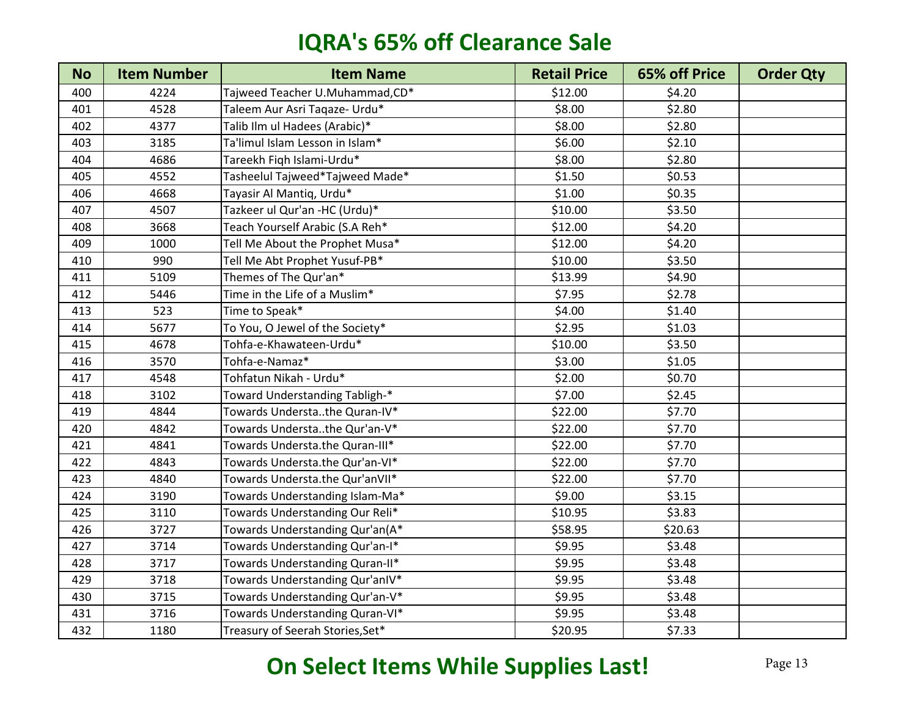| <b>No</b> | <b>Item Number</b> | <b>Item Name</b>                 | <b>Retail Price</b> | 65% off Price | <b>Order Qty</b> |
|-----------|--------------------|----------------------------------|---------------------|---------------|------------------|
| 400       | 4224               | Tajweed Teacher U.Muhammad,CD*   | \$12.00             | \$4.20        |                  |
| 401       | 4528               | Taleem Aur Asri Taqaze- Urdu*    | \$8.00              | \$2.80        |                  |
| 402       | 4377               | Talib Ilm ul Hadees (Arabic)*    | \$8.00              | \$2.80        |                  |
| 403       | 3185               | Ta'limul Islam Lesson in Islam*  | \$6.00              | \$2.10        |                  |
| 404       | 4686               | Tareekh Fiqh Islami-Urdu*        | \$8.00              | \$2.80        |                  |
| 405       | 4552               | Tasheelul Tajweed*Tajweed Made*  | \$1.50              | \$0.53        |                  |
| 406       | 4668               | Tayasir Al Mantiq, Urdu*         | \$1.00              | \$0.35        |                  |
| 407       | 4507               | Tazkeer ul Qur'an -HC (Urdu)*    | \$10.00             | \$3.50        |                  |
| 408       | 3668               | Teach Yourself Arabic (S.A Reh*  | \$12.00             | \$4.20        |                  |
| 409       | 1000               | Tell Me About the Prophet Musa*  | \$12.00             | \$4.20        |                  |
| 410       | 990                | Tell Me Abt Prophet Yusuf-PB*    | \$10.00             | \$3.50        |                  |
| 411       | 5109               | Themes of The Qur'an*            | \$13.99             | \$4.90        |                  |
| 412       | 5446               | Time in the Life of a Muslim*    | \$7.95              | \$2.78        |                  |
| 413       | 523                | Time to Speak*                   | \$4.00              | \$1.40        |                  |
| 414       | 5677               | To You, O Jewel of the Society*  | \$2.95              | \$1.03        |                  |
| 415       | 4678               | Tohfa-e-Khawateen-Urdu*          | \$10.00             | \$3.50        |                  |
| 416       | 3570               | Tohfa-e-Namaz*                   | \$3.00              | \$1.05        |                  |
| 417       | 4548               | Tohfatun Nikah - Urdu*           | \$2.00              | \$0.70        |                  |
| 418       | 3102               | Toward Understanding Tabligh-*   | \$7.00              | \$2.45        |                  |
| 419       | 4844               | Towards Understathe Quran-IV*    | \$22.00             | \$7.70        |                  |
| 420       | 4842               | Towards Understathe Qur'an-V*    | \$22.00             | \$7.70        |                  |
| 421       | 4841               | Towards Understa.the Quran-III*  | \$22.00             | \$7.70        |                  |
| 422       | 4843               | Towards Understa.the Qur'an-VI*  | \$22.00             | \$7.70        |                  |
| 423       | 4840               | Towards Understa.the Qur'anVII*  | \$22.00             | \$7.70        |                  |
| 424       | 3190               | Towards Understanding Islam-Ma*  | \$9.00              | \$3.15        |                  |
| 425       | 3110               | Towards Understanding Our Reli*  | \$10.95             | \$3.83        |                  |
| 426       | 3727               | Towards Understanding Qur'an(A*  | \$58.95             | \$20.63       |                  |
| 427       | 3714               | Towards Understanding Qur'an-I*  | \$9.95              | \$3.48        |                  |
| 428       | 3717               | Towards Understanding Quran-II*  | \$9.95              | \$3.48        |                  |
| 429       | 3718               | Towards Understanding Qur'anIV*  | \$9.95              | \$3.48        |                  |
| 430       | 3715               | Towards Understanding Qur'an-V*  | \$9.95              | \$3.48        |                  |
| 431       | 3716               | Towards Understanding Quran-VI*  | \$9.95              | \$3.48        |                  |
| 432       | 1180               | Treasury of Seerah Stories, Set* | \$20.95             | \$7.33        |                  |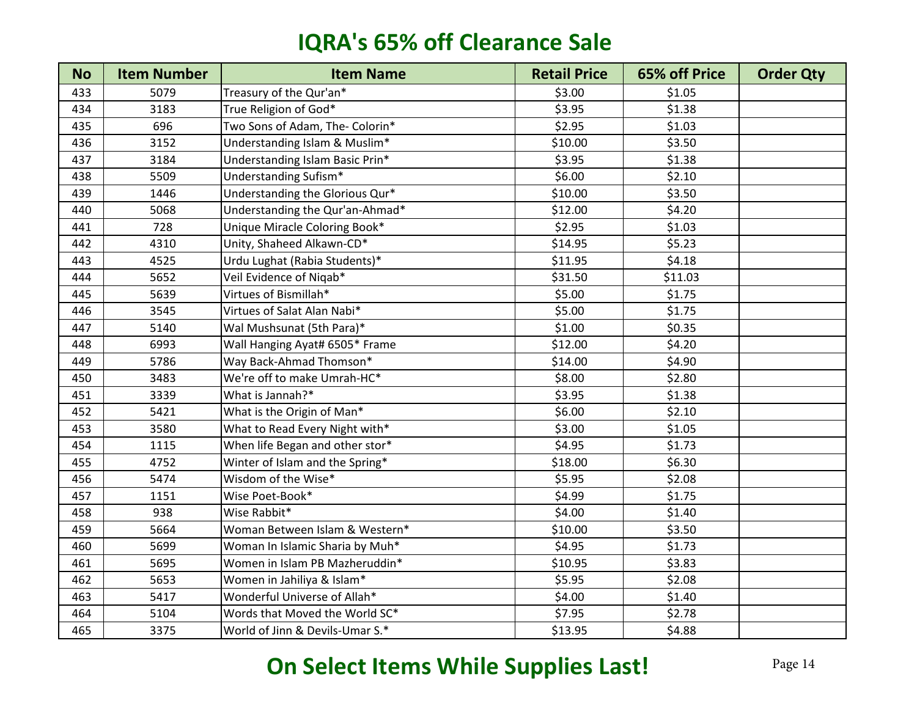| <b>No</b> | <b>Item Number</b> | <b>Item Name</b>                | <b>Retail Price</b> | <b>65% off Price</b> | <b>Order Qty</b> |
|-----------|--------------------|---------------------------------|---------------------|----------------------|------------------|
| 433       | 5079               | Treasury of the Qur'an*         | \$3.00              | \$1.05               |                  |
| 434       | 3183               | True Religion of God*           | \$3.95              | \$1.38               |                  |
| 435       | 696                | Two Sons of Adam, The- Colorin* | \$2.95              | \$1.03               |                  |
| 436       | 3152               | Understanding Islam & Muslim*   | \$10.00             | \$3.50               |                  |
| 437       | 3184               | Understanding Islam Basic Prin* | \$3.95              | \$1.38               |                  |
| 438       | 5509               | Understanding Sufism*           | \$6.00              | \$2.10               |                  |
| 439       | 1446               | Understanding the Glorious Qur* | \$10.00             | \$3.50               |                  |
| 440       | 5068               | Understanding the Qur'an-Ahmad* | \$12.00             | \$4.20               |                  |
| 441       | 728                | Unique Miracle Coloring Book*   | \$2.95              | \$1.03               |                  |
| 442       | 4310               | Unity, Shaheed Alkawn-CD*       | \$14.95             | \$5.23               |                  |
| 443       | 4525               | Urdu Lughat (Rabia Students)*   | \$11.95             | \$4.18               |                  |
| 444       | 5652               | Veil Evidence of Niqab*         | \$31.50             | \$11.03              |                  |
| 445       | 5639               | Virtues of Bismillah*           | \$5.00              | \$1.75               |                  |
| 446       | 3545               | Virtues of Salat Alan Nabi*     | \$5.00              | \$1.75               |                  |
| 447       | 5140               | Wal Mushsunat (5th Para)*       | \$1.00              | \$0.35               |                  |
| 448       | 6993               | Wall Hanging Ayat# 6505* Frame  | \$12.00             | \$4.20               |                  |
| 449       | 5786               | Way Back-Ahmad Thomson*         | \$14.00             | \$4.90               |                  |
| 450       | 3483               | We're off to make Umrah-HC*     | \$8.00              | \$2.80               |                  |
| 451       | 3339               | What is Jannah?*                | \$3.95              | \$1.38               |                  |
| 452       | 5421               | What is the Origin of Man*      | \$6.00              | \$2.10               |                  |
| 453       | 3580               | What to Read Every Night with*  | \$3.00              | \$1.05               |                  |
| 454       | 1115               | When life Began and other stor* | \$4.95              | \$1.73               |                  |
| 455       | 4752               | Winter of Islam and the Spring* | \$18.00             | \$6.30               |                  |
| 456       | 5474               | Wisdom of the Wise*             | \$5.95              | \$2.08               |                  |
| 457       | 1151               | Wise Poet-Book*                 | \$4.99              | \$1.75               |                  |
| 458       | 938                | Wise Rabbit*                    | \$4.00              | \$1.40               |                  |
| 459       | 5664               | Woman Between Islam & Western*  | \$10.00             | \$3.50               |                  |
| 460       | 5699               | Woman In Islamic Sharia by Muh* | \$4.95              | \$1.73               |                  |
| 461       | 5695               | Women in Islam PB Mazheruddin*  | \$10.95             | \$3.83               |                  |
| 462       | 5653               | Women in Jahiliya & Islam*      | \$5.95              | \$2.08               |                  |
| 463       | 5417               | Wonderful Universe of Allah*    | \$4.00              | \$1.40               |                  |
| 464       | 5104               | Words that Moved the World SC*  | \$7.95              | \$2.78               |                  |
| 465       | 3375               | World of Jinn & Devils-Umar S.* | \$13.95             | \$4.88               |                  |